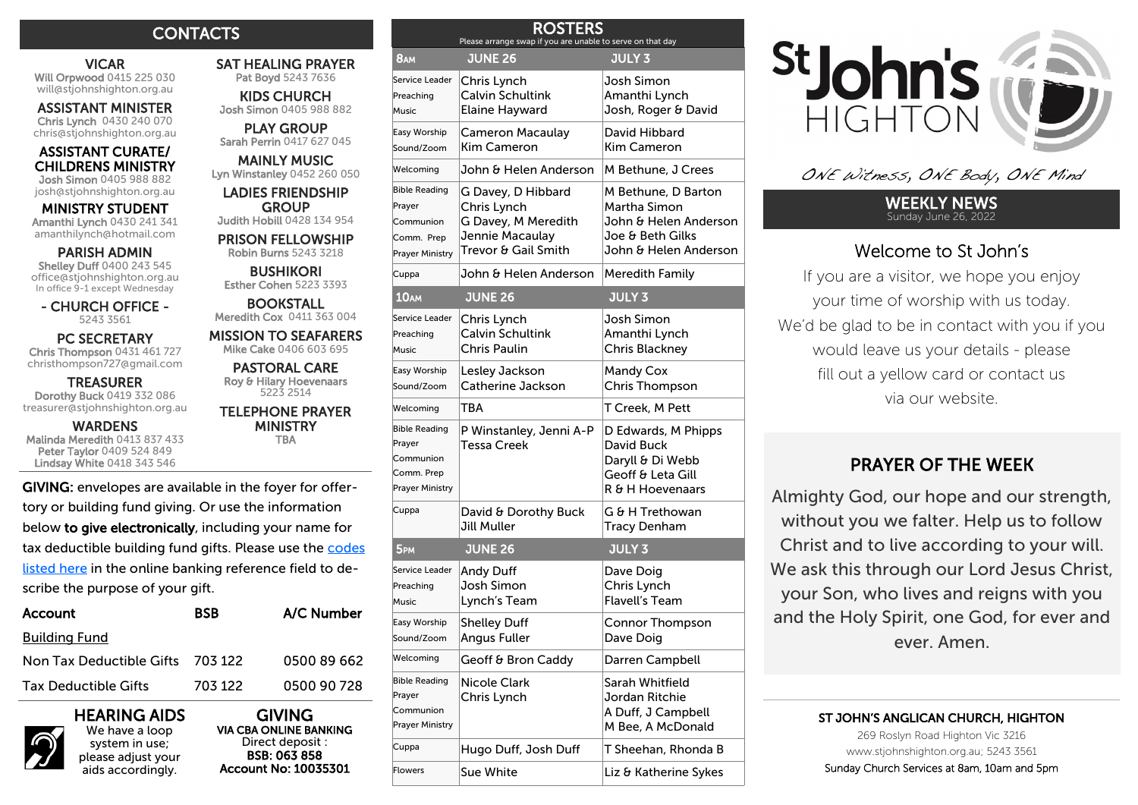# **CONTACTS**

## VICAR Will Orpwood 0415 225 030

will@stjohnshighton.org.au ASSISTANT MINISTER

Chris Lynch 0430 240 070 chris@stjohnshighton.org.au

#### ASSISTANT CURATE/ CHILDRENS MINISTRY Josh Simon 0405 988 882

josh@stjohnshighton.org.au

## MINISTRY STUDENT

Amanthi Lynch 0430 241 341 amanthilynch@hotmail.com

### PARISH ADMIN

Shelley Duff 0400 243 545 office@stjohnshighton.org.au In office 9-1 except Wednesday

- CHURCH OFFICE - 5243 3561

 PC SECRETARY Chris Thompson 0431 461 727 christhompson727@gmail.com

**TREASURER** Dorothy Buck 0419 332 086 treasurer@stjohnshighton.org.au

**WARDENS** Malinda Meredith 0413 837 433 Peter Taylor 0409 524 849 Lindsay White 0418 343 546

GIVING: envelopes are available in the foyer for offertory or building fund giving. Or use the information below **to give electronically**, including your name for tax deductible building fund gifts. Please use the <u>codes</u> <u>[listed here](http://www.stjohnshighton.org.au/Main.asp?_=Banking%20Codes)</u> in the online banking reference field to describe the purpose of your gift.

| Account                          | <b>BSB</b> | A/C Number  |
|----------------------------------|------------|-------------|
| <u>Building Fund</u>             |            |             |
| Non Tax Deductible Gifts 703 122 |            | 0500 89 662 |
| Tax Deductible Gifts             | 703 122    | 0500 90 728 |

# HEARING AIDS

We have a loop system in use; please adjust your aids accordingly.

SAT HEALING PRAYER Pat Boyd 5243 7636

 KIDS CHURCH Josh Simon 0405 988 882

 PLAY GROUP Sarah Perrin 0417 627 045

MAINLY MUSIC Lyn Winstanley 0452 260 050

LADIES FRIENDSHIP **GROUP** Judith Hobill 0428 134 954

 PRISON FELLOWSHIP Robin Burns 5243 3218

**BUSHIKORI** Esther Cohen 5223 3393

BOOKSTALL Meredith Cox 0411 363 004

MISSION TO SEAFARERS Mike Cake 0406 603 695

PASTORAL CARE Roy & Hilary Hoevenaars 5223 2514

### TELEPHONE PRAYER MINISTRY

TBA

| <b>ING:</b> envelopes are available in the foyer for offer- |
|-------------------------------------------------------------|
| y or building fund giving. Or use the information           |
| low to give electronically, including your name for         |
| deductible building fund gifts. Please use the codes        |
| ed here in the online banking reference field to de-        |
| ibe the purpose of your gift.                               |
|                                                             |

| Sound/Zoom                                                                          | Catherine Jackson                              | Chris Thompson                                                                                 |  |
|-------------------------------------------------------------------------------------|------------------------------------------------|------------------------------------------------------------------------------------------------|--|
| Welcoming                                                                           | TBA                                            | T Creek, M Pett                                                                                |  |
| <b>Bible Reading</b><br>Prayer<br>Communion<br>Comm. Prep<br><b>Prayer Ministry</b> | P Winstanley, Jenni A-P<br>Tessa Creek         | D Edwards, M Phipps<br>David Buck<br>Daryll & Di Webb<br>Geoff & Leta Gill<br>R & H Hoevenaars |  |
| Cuppa                                                                               | David & Dorothy Buck<br>Jill Muller            | G & H Trethowan<br><b>Tracy Denham</b>                                                         |  |
| 5 <sub>PM</sub>                                                                     | <b>JUNE 26</b>                                 | <b>JULY 3</b>                                                                                  |  |
| Service Leader<br>Preaching<br><b>Music</b>                                         | <b>Andy Duff</b><br>Josh Simon<br>Lynch's Team | Dave Doig<br>Chris Lynch<br>Flavell's Team                                                     |  |
| Easy Worship<br>Sound/Zoom                                                          | <b>Shelley Duff</b><br>Angus Fuller            | Connor Thompson<br>Dave Doig                                                                   |  |

Welcoming Geoff & Bron Caddy Darren Campbell

 $\Box$ Cuppa Hugo Duff, Josh Duff T Sheehan, Rhonda B Flowers Sue White **Liz & Katherine Sykes** 

Nicole Clark Chris Lynch

ROSTERS Please arrange swap if you are unable to serve on that day

Welcoming John & Helen Anderson M Bethune, J Crees

Cuppa John & Helen Anderson Meredith Family

Josh Simon Amanthi Lynch Josh, Roger & David

David Hibbard Kim Cameron

Josh Simon Amanthi Lynch Chris Blackney

Mandy Cox

Sarah Whitfield Jordan Ritchie A Duff, J Campbell M Bee, A McDonald

M Bethune, D Barton Martha Simon

John & Helen Anderson Joe & Beth Gilks John & Helen Anderson

8AM JUNE 26 JULY 3

Cameron Macaulay Kim Cameron

G Davey, D Hibbard Chris Lynch

G Davey, M Meredith Jennie Macaulay Trevor & Gail Smith

10AM JUNE 26 JULY 3

Chris Lynch Calvin Schultink Chris Paulin

Lesley Jackson

Chris Lynch Calvin Schultink Elaine Hayward

Service Leader Preaching Music

Easy Worship Sound/Zoom

Bible Reading Prayer Communion Comm. Prep Prayer Ministry

Service Leader Preaching Music

Easy Worship

Bible Reading Prayer Communion Prayer Ministry



ONE Witness, ONE Body, ONE Mind

#### WEEKLY NEWS Sunday June 26, 2022

# Welcome to St John's

If you are a visitor, we hope you enjoy your time of worship with us today. We'd be glad to be in contact with you if you would leave us your details - please fill out a yellow card or contact us via our website.

# PRAYER OF THE WEEK

Almighty God, our hope and our strength, without you we falter. Help us to follow Christ and to live according to your will. We ask this through our Lord Jesus Christ, your Son, who lives and reigns with you and the Holy Spirit, one God, for ever and ever. Amen.

### ST JOHN'S ANGLICAN CHURCH, HIGHTON

269 Roslyn Road Highton Vic 3216 www.stjohnshighton.org.au; 5243 3561 Sunday Church Services at 8am, 10am and 5pm

GIVING VIA CBA ONLINE BANKING Direct deposit : BSB: 063 858 Account No: 10035301